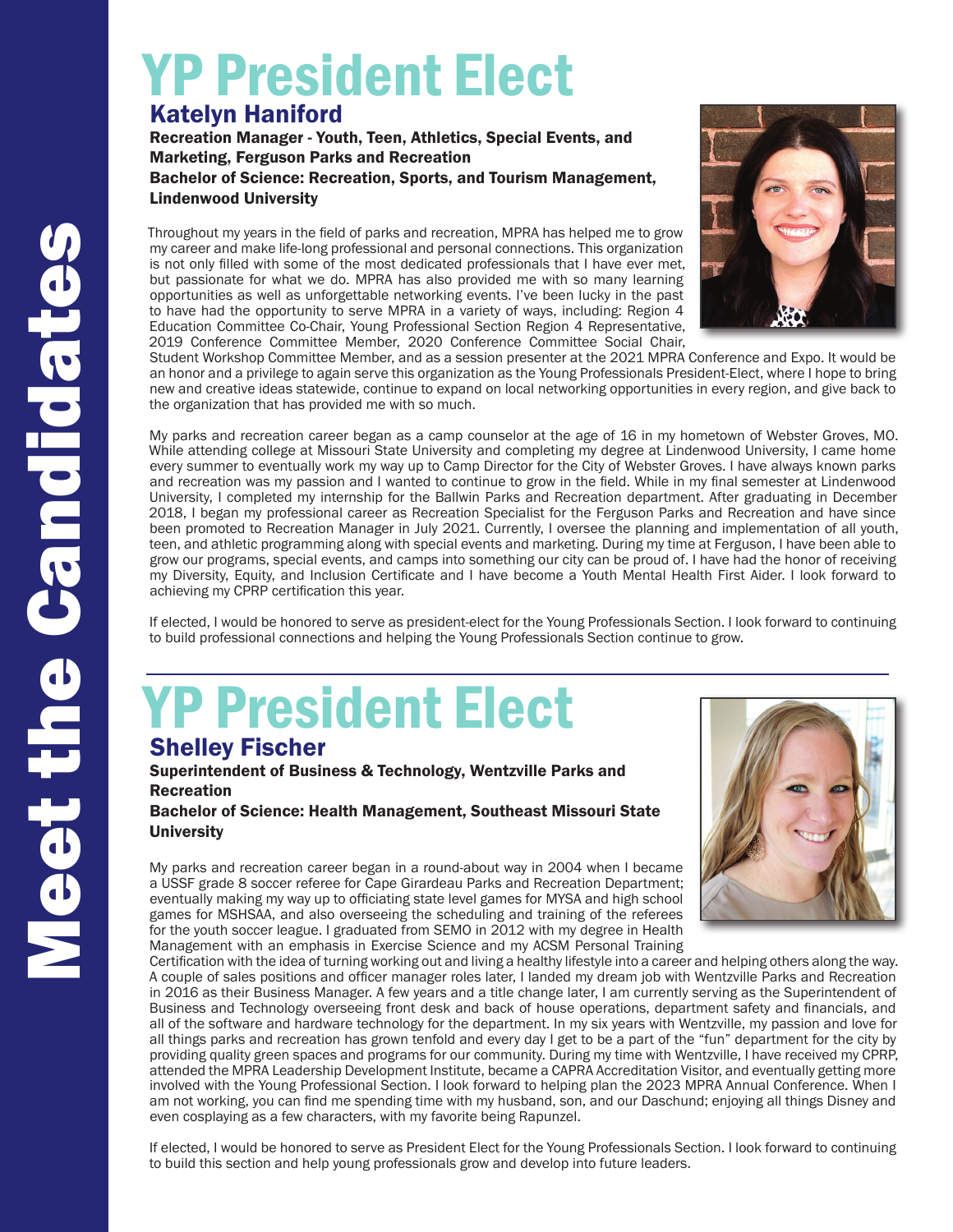## Katelyn Haniford YP President Elect

Recreation Manager - Youth, Teen, Athletics, Special Events, and Marketing, Ferguson Parks and Recreation Bachelor of Science: Recreation, Sports, and Tourism Management,

Lindenwood University

Throughout my years in the field of parks and recreation, MPRA has helped me to grow my career and make life-long professional and personal connections. This organization is not only filled with some of the most dedicated professionals that I have ever met, but passionate for what we do. MPRA has also provided me with so many learning opportunities as well as unforgettable networking events. I've been lucky in the past to have had the opportunity to serve MPRA in a variety of ways, including: Region 4 Education Committee Co-Chair, Young Professional Section Region 4 Representative, 2019 Conference Committee Member, 2020 Conference Committee Social Chair,



Student Workshop Committee Member, and as a session presenter at the 2021 MPRA Conference and Expo. It would be an honor and a privilege to again serve this organization as the Young Professionals President-Elect, where I hope to bring new and creative ideas statewide, continue to expand on local networking opportunities in every region, and give back to the organization that has provided me with so much.

My parks and recreation career began as a camp counselor at the age of 16 in my hometown of Webster Groves, MO. While attending college at Missouri State University and completing my degree at Lindenwood University, I came home every summer to eventually work my way up to Camp Director for the City of Webster Groves. I have always known parks and recreation was my passion and I wanted to continue to grow in the field. While in my final semester at Lindenwood University, I completed my internship for the Ballwin Parks and Recreation department. After graduating in December 2018, I began my professional career as Recreation Specialist for the Ferguson Parks and Recreation and have since been promoted to Recreation Manager in July 2021. Currently, I oversee the planning and implementation of all youth, teen, and athletic programming along with special events and marketing. During my time at Ferguson, I have been able to grow our programs, special events, and camps into something our city can be proud of. I have had the honor of receiving my Diversity, Equity, and Inclusion Certificate and I have become a Youth Mental Health First Aider. I look forward to achieving my CPRP certification this year.

If elected, I would be honored to serve as president-elect for the Young Professionals Section. I look forward to continuing to build professional connections and helping the Young Professionals Section continue to grow.

## Shelley Fischer YP President Elect

Superintendent of Business & Technology, Wentzville Parks and **Recreation** 

Bachelor of Science: Health Management, Southeast Missouri State **University** 

My parks and recreation career began in a round-about way in 2004 when I became a USSF grade 8 soccer referee for Cape Girardeau Parks and Recreation Department; eventually making my way up to officiating state level games for MYSA and high school games for MSHSAA, and also overseeing the scheduling and training of the referees for the youth soccer league. I graduated from SEMO in 2012 with my degree in Health Management with an emphasis in Exercise Science and my ACSM Personal Training



Certification with the idea of turning working out and living a healthy lifestyle into a career and helping others along the way. A couple of sales positions and officer manager roles later, I landed my dream job with Wentzville Parks and Recreation in 2016 as their Business Manager. A few years and a title change later, I am currently serving as the Superintendent of Business and Technology overseeing front desk and back of house operations, department safety and financials, and all of the software and hardware technology for the department. In my six years with Wentzville, my passion and love for all things parks and recreation has grown tenfold and every day I get to be a part of the "fun" department for the city by providing quality green spaces and programs for our community. During my time with Wentzville, I have received my CPRP, attended the MPRA Leadership Development Institute, became a CAPRA Accreditation Visitor, and eventually getting more involved with the Young Professional Section. I look forward to helping plan the 2023 MPRA Annual Conference. When I am not working, you can find me spending time with my husband, son, and our Daschund; enjoying all things Disney and even cosplaying as a few characters, with my favorite being Rapunzel.

If elected, I would be honored to serve as President Elect for the Young Professionals Section. I look forward to continuing to build this section and help young professionals grow and develop into future leaders.